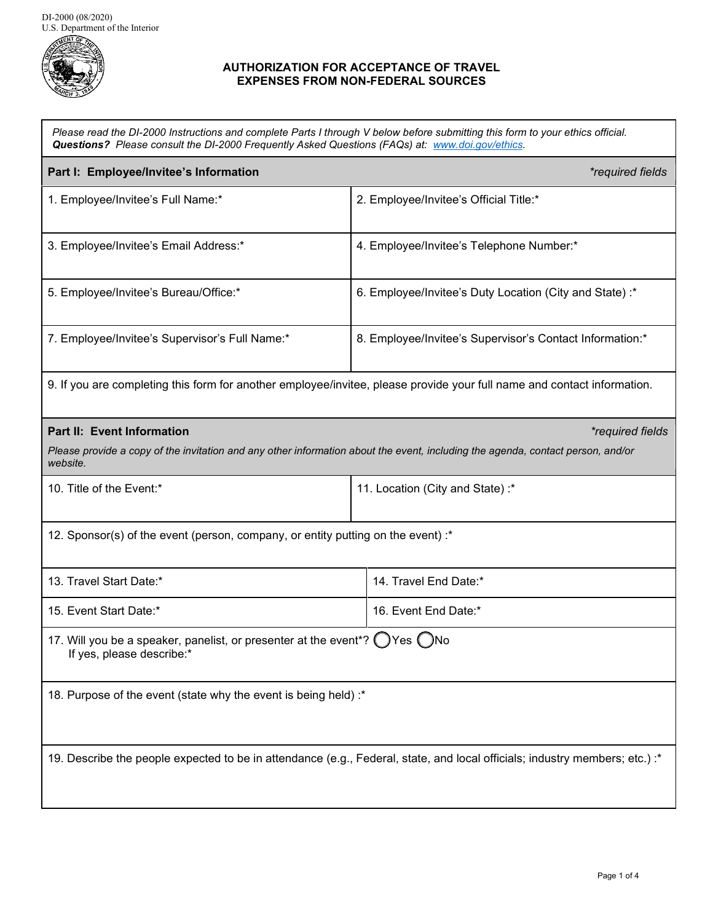

## **AUTHORIZATION FOR ACCEPTANCE OF TRAVEL EXPENSES FROM NON-FEDERAL SOURCES**

*Please read the DI-2000 Instructions and complete Parts I through V below before submitting this form to your ethics official. Questions? Please consult the DI-2000 Frequently Asked Questions (FAQs) at: [www.doi.gov/ethics.](http://www.doi.gov/ethics)*

| Part I: Employee/Invitee's Information                                                                                                      | *required fields                                                                                                            |  |  |  |
|---------------------------------------------------------------------------------------------------------------------------------------------|-----------------------------------------------------------------------------------------------------------------------------|--|--|--|
| 1. Employee/Invitee's Full Name:*                                                                                                           | 2. Employee/Invitee's Official Title:*                                                                                      |  |  |  |
| 3. Employee/Invitee's Email Address:*                                                                                                       | 4. Employee/Invitee's Telephone Number:*                                                                                    |  |  |  |
| 5. Employee/Invitee's Bureau/Office:*                                                                                                       | 6. Employee/Invitee's Duty Location (City and State):*                                                                      |  |  |  |
| 7. Employee/Invitee's Supervisor's Full Name:*                                                                                              | 8. Employee/Invitee's Supervisor's Contact Information:*                                                                    |  |  |  |
| 9. If you are completing this form for another employee/invitee, please provide your full name and contact information.                     |                                                                                                                             |  |  |  |
| Part II: Event Information                                                                                                                  | *required fields                                                                                                            |  |  |  |
| Please provide a copy of the invitation and any other information about the event, including the agenda, contact person, and/or<br>website. |                                                                                                                             |  |  |  |
| 10. Title of the Event:*                                                                                                                    | 11. Location (City and State):*                                                                                             |  |  |  |
| 12. Sponsor(s) of the event (person, company, or entity putting on the event) :*                                                            |                                                                                                                             |  |  |  |
| 13. Travel Start Date:*                                                                                                                     | 14. Travel End Date:*                                                                                                       |  |  |  |
| 15. Event Start Date:*                                                                                                                      | 16. Event End Date:*                                                                                                        |  |  |  |
| 17. Will you be a speaker, panelist, or presenter at the event*? ( ) Yes ( ) No<br>If yes, please describe:*                                |                                                                                                                             |  |  |  |
| 18. Purpose of the event (state why the event is being held):*                                                                              |                                                                                                                             |  |  |  |
|                                                                                                                                             | 19. Describe the people expected to be in attendance (e.g., Federal, state, and local officials; industry members; etc.) :* |  |  |  |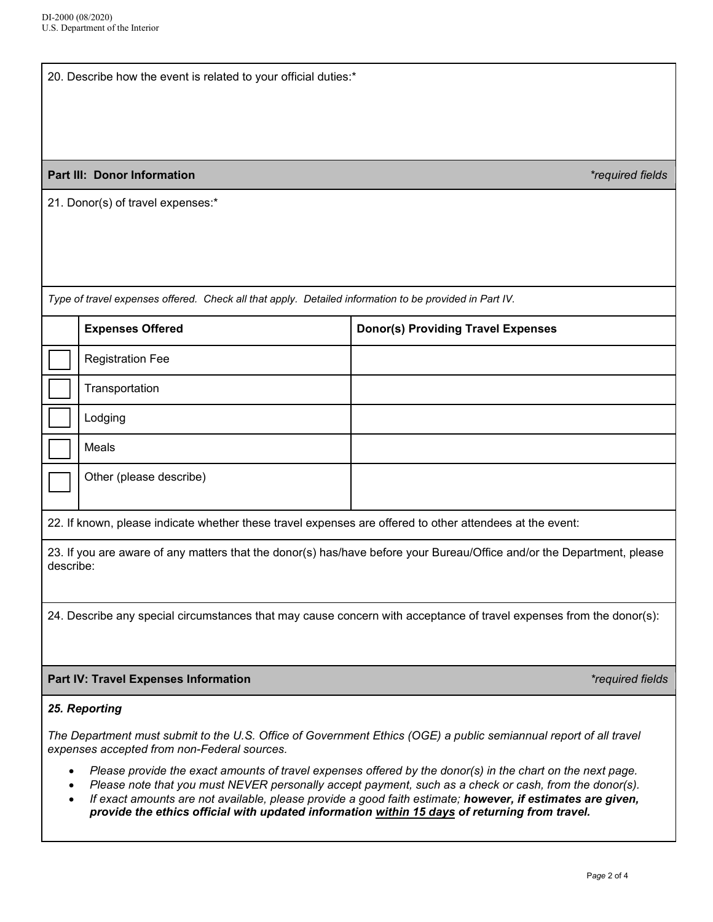20. Describe how the event is related to your official duties:\*

## **Part III: Donor Information** *\*required fields*

21. Donor(s) of travel expenses:\*

*Type of travel expenses offered. Check all that apply. Detailed information to be provided in Part IV.*

| <b>Expenses Offered</b> | <b>Donor(s) Providing Travel Expenses</b> |
|-------------------------|-------------------------------------------|
| <b>Registration Fee</b> |                                           |
| Transportation          |                                           |
| Lodging                 |                                           |
| Meals                   |                                           |
| Other (please describe) |                                           |

22. If known, please indicate whether these travel expenses are offered to other attendees at the event:

23. If you are aware of any matters that the donor(s) has/have before your Bureau/Office and/or the Department, please describe:

24. Describe any special circumstances that may cause concern with acceptance of travel expenses from the donor(s):

## **Part IV: Travel Expenses Information** *\*required fields*

## *25. Reporting*

*The Department must submit to the U.S. Office of Government Ethics (OGE) a public semiannual report of all travel expenses accepted from non-Federal sources.*

- *Please provide the exact amounts of travel expenses offered by the donor(s) in the chart on the next page.*
- *Please note that you must NEVER personally accept payment, such as a check or cash, from the donor(s).*
- *If exact amounts are not available, please provide a good faith estimate; however, if estimates are given, provide the ethics official with updated information within 15 days of returning from travel.*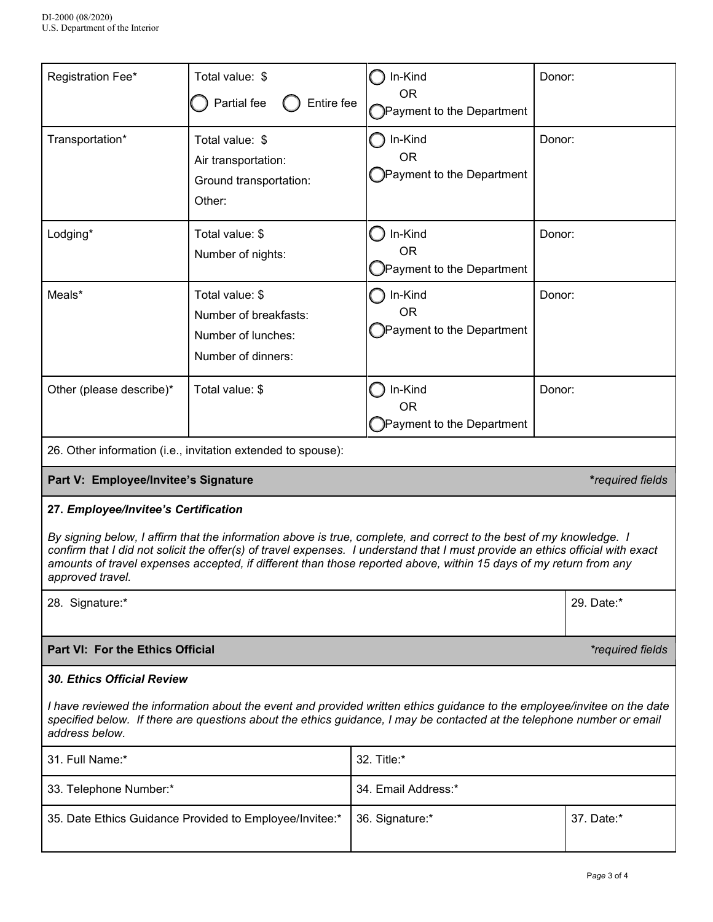| Registration Fee*                                                                                                                                                                                                                                                                                                                                                                              | Total value: \$<br>Partial fee<br>Entire fee                                         | In-Kind<br><b>OR</b><br>Payment to the Department   | Donor:     |                         |  |
|------------------------------------------------------------------------------------------------------------------------------------------------------------------------------------------------------------------------------------------------------------------------------------------------------------------------------------------------------------------------------------------------|--------------------------------------------------------------------------------------|-----------------------------------------------------|------------|-------------------------|--|
| Transportation*                                                                                                                                                                                                                                                                                                                                                                                | Total value: \$<br>Air transportation:<br>Ground transportation:<br>Other:           | In-Kind<br><b>OR</b><br>Payment to the Department   | Donor:     |                         |  |
| Lodging*                                                                                                                                                                                                                                                                                                                                                                                       | Total value: \$<br>Number of nights:                                                 | In-Kind<br><b>OR</b><br>)Payment to the Department  | Donor:     |                         |  |
| Meals*                                                                                                                                                                                                                                                                                                                                                                                         | Total value: \$<br>Number of breakfasts:<br>Number of lunches:<br>Number of dinners: | In-Kind<br><b>OR</b><br>Payment to the Department   | Donor:     |                         |  |
| Other (please describe)*                                                                                                                                                                                                                                                                                                                                                                       | Total value: \$                                                                      | In-Kind<br><b>OR</b><br>) Payment to the Department | Donor:     |                         |  |
|                                                                                                                                                                                                                                                                                                                                                                                                | 26. Other information (i.e., invitation extended to spouse):                         |                                                     |            |                         |  |
| Part V: Employee/Invitee's Signature                                                                                                                                                                                                                                                                                                                                                           |                                                                                      |                                                     |            | <i>*required fields</i> |  |
| 27. Employee/Invitee's Certification                                                                                                                                                                                                                                                                                                                                                           |                                                                                      |                                                     |            |                         |  |
| By signing below, I affirm that the information above is true, complete, and correct to the best of my knowledge. I<br>confirm that I did not solicit the offer(s) of travel expenses. I understand that I must provide an ethics official with exact<br>amounts of travel expenses accepted, if different than those reported above, within 15 days of my return from any<br>approved travel. |                                                                                      |                                                     |            |                         |  |
| 28. Signature:*                                                                                                                                                                                                                                                                                                                                                                                |                                                                                      |                                                     | 29. Date:* |                         |  |
| <b>Part VI: For the Ethics Official</b><br>*required fields                                                                                                                                                                                                                                                                                                                                    |                                                                                      |                                                     |            |                         |  |
| <b>30. Ethics Official Review</b>                                                                                                                                                                                                                                                                                                                                                              |                                                                                      |                                                     |            |                         |  |
| I have reviewed the information about the event and provided written ethics guidance to the employee/invitee on the date<br>specified below. If there are questions about the ethics guidance, I may be contacted at the telephone number or email<br>address below.                                                                                                                           |                                                                                      |                                                     |            |                         |  |
| 31. Full Name:*<br>32. Title:*                                                                                                                                                                                                                                                                                                                                                                 |                                                                                      |                                                     |            |                         |  |

| .                                                       | ---------           |            |
|---------------------------------------------------------|---------------------|------------|
| 33. Telephone Number:*                                  | 34. Email Address:* |            |
| 35. Date Ethics Guidance Provided to Employee/Invitee:* | 36. Signature:*     | 37. Date:* |